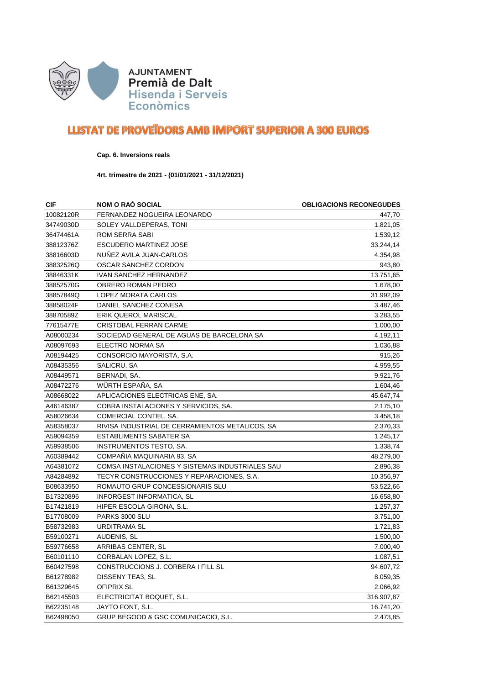

## **LLISTAT DE PROVETDORS AMB IMPORT SUPERIOR A 300 EUROS**

**Cap. 6. Inversions reals**

**4rt. trimestre de 2021 - (01/01/2021 - 31/12/2021)**

| <b>CIF</b> | <b>NOM O RAO SOCIAL</b>                         | <b>OBLIGACIONS RECONEGUDES</b> |
|------------|-------------------------------------------------|--------------------------------|
| 10082120R  | FERNANDEZ NOGUEIRA LEONARDO                     | 447.70                         |
| 34749030D  | SOLEY VALLDEPERAS, TONI                         | 1.821,05                       |
| 36474461A  | <b>ROM SERRA SABI</b>                           | 1.539,12                       |
| 38812376Z  | <b>ESCUDERO MARTINEZ JOSE</b>                   | 33.244,14                      |
| 38816603D  | NUÑEZ AVILA JUAN-CARLOS                         | 4.354,98                       |
| 38832526Q  | OSCAR SANCHEZ CORDON                            | 943,80                         |
| 38846331K  | <b>IVAN SANCHEZ HERNANDEZ</b>                   | 13.751,65                      |
| 38852570G  | OBRERO ROMAN PEDRO                              | 1.678,00                       |
| 38857849Q  | LOPEZ MORATA CARLOS                             | 31.992,09                      |
| 38858024F  | DANIEL SANCHEZ CONESA                           | 3.487,46                       |
| 38870589Z  | <b>ERIK QUEROL MARISCAL</b>                     | 3.283,55                       |
| 77615477E  | <b>CRISTOBAL FERRAN CARME</b>                   | 1.000,00                       |
| A08000234  | SOCIEDAD GENERAL DE AGUAS DE BARCELONA SA       | 4.192,11                       |
| A08097693  | ELECTRO NORMA SA                                | 1.036,88                       |
| A08194425  | CONSORCIO MAYORISTA, S.A.                       | 915,26                         |
| A08435356  | SALICRU, SA                                     | 4.959,55                       |
| A08449571  | BERNADI, SA.                                    | 9.921,76                       |
| A08472276  | WÜRTH ESPAÑA, SA                                | 1.604,46                       |
| A08668022  | APLICACIONES ELECTRICAS ENE, SA.                | 45.647,74                      |
| A46146387  | COBRA INSTALACIONES Y SERVICIOS, SA.            | 2.175,10                       |
| A58026634  | COMERCIAL CONTEL, SA.                           | 3.458,18                       |
| A58358037  | RIVISA INDUSTRIAL DE CERRAMIENTOS METALICOS, SA | 2.370,33                       |
| A59094359  | <b>ESTABLIMENTS SABATER SA</b>                  | 1.245,17                       |
| A59938506  | INSTRUMENTOS TESTO, SA.                         | 1.338,74                       |
| A60389442  | COMPAÑIA MAQUINARIA 93, SA                      | 48.279,00                      |
| A64381072  | COMSA INSTALACIONES Y SISTEMAS INDUSTRIALES SAU | 2.896,38                       |
| A84284892  | TECYR CONSTRUCCIONES Y REPARACIONES, S.A.       | 10.356,97                      |
| B08633950  | ROMAUTO GRUP CONCESSIONARIS SLU                 | 53.522,66                      |
| B17320896  | <b>INFORGEST INFORMATICA, SL</b>                | 16.658,80                      |
| B17421819  | HIPER ESCOLA GIRONA, S.L.                       | 1.257,37                       |
| B17708009  | PARKS 3000 SLU                                  | 3.751,00                       |
| B58732983  | <b>URDITRAMA SL</b>                             | 1.721,83                       |
| B59100271  | AUDENIS, SL                                     | 1.500,00                       |
| B59776658  | ARRIBAS CENTER, SL                              | 7.000,40                       |
| B60101110  | CORBALAN LOPEZ, S.L.                            | 1.087,51                       |
| B60427598  | CONSTRUCCIONS J. CORBERA I FILL SL              | 94.607,72                      |
| B61278982  | DISSENY TEA3, SL                                | 8.059,35                       |
| B61329645  | <b>OFIPRIX SL</b>                               | 2.066,92                       |
| B62145503  | ELECTRICITAT BOQUET, S.L.                       | 316.907,87                     |
| B62235148  | JAYTO FONT, S.L.                                | 16.741,20                      |
| B62498050  | GRUP BEGOOD & GSC COMUNICACIO, S.L.             | 2.473,85                       |